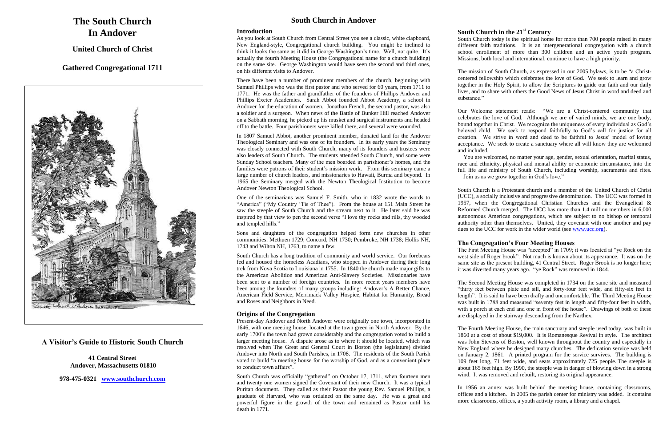# **The South Church In Andover**

**United Church of Christ**

## **Gathered Congregational 1711**



## **A Visitor's Guide to Historic South Church**

**41 Central Street Andover, Massachusetts 01810**

**978-475-0321 [www.southchurch.com](http://www.southchurch.com/)** 

## **South Church in Andover**

### **Introduction**

As you look at South Church from Central Street you see a classic, white clapboard, New England-style, Congregational church building. You might be inclined to think it looks the same as it did in George Washington's time. Well, not quite. It's actually the fourth Meeting House (the Congregational name for a church building) on the same site. George Washington would have seen the second and third ones, on his different visits to Andover.

There have been a number of prominent members of the church, beginning with Samuel Phillips who was the first pastor and who served for 60 years, from 1711 to 1771. He was the father and grandfather of the founders of Phillips Andover and Phillips Exeter Academies. Sarah Abbot founded Abbot Academy, a school in Andover for the education of women. Jonathan French, the second pastor, was also a soldier and a surgeon. When news of the Battle of Bunker Hill reached Andover on a Sabbath morning, he picked up his musket and surgical instruments and headed off to the battle. Four parishioners were killed there, and several were wounded.

In 1807 Samuel Abbot, another prominent member, donated land for the Andover Theological Seminary and was one of its founders. In its early years the Seminary was closely connected with South Church; many of its founders and trustees were also leaders of South Church. The students attended South Church, and some were Sunday School teachers. Many of the men boarded in parishioner's homes, and the families were patrons of their student's mission work. From this seminary came a large number of church leaders, and missionaries to Hawaii, Burma and beyond. In 1965 the Seminary merged with the Newton Theological Institution to become Andover Newton Theological School.

One of the seminarians was Samuel F. Smith, who in 1832 wrote the words to "America" ("My Country 'Tis of Thee"). From the house at 151 Main Street he saw the steeple of South Church and the stream next to it. He later said he was inspired by that view to pen the second verse "I love thy rocks and rills, thy wooded and templed hills."

The mission of South Church, as expressed in our 2005 bylaws, is to be "a Christcentered fellowship which celebrates the love of God. We seek to learn and grow together in the Holy Spirit, to allow the Scriptures to guide our faith and our daily lives, and to share with others the Good News of Jesus Christ in word and deed and substance."

Sons and daughters of the congregation helped form new churches in other communities: Methuen 1729; Concord, NH 1730; Pembroke, NH 1738; Hollis NH, 1743 and Wilton NH, 1763, to name a few.

South Church is a Protestant church and a member of the United Church of Christ (UCC), a socially inclusive and progressive denomination. The UCC was formed in 1957, when the Congregational Christian Churches and the Evangelical & Reformed Church merged. The UCC has more than 1.4 million members in 6,000 autonomous American congregations, which are subject to no bishop or temporal authority other than themselves. United, they covenant with one another and pay dues to the UCC for work in the wider world (see [www.ucc.org\)](http://www.ucc.org/).

South Church has a long tradition of community and world service. Our forebears fed and housed the homeless Acadians, who stopped in Andover during their long trek from Nova Scotia to Louisiana in 1755. In 1840 the church made major gifts to the American Abolition and American Anti-Slavery Societies. Missionaries have been sent to a number of foreign countries. In more recent years members have been among the founders of many groups including: Andover's A Better Chance, American Field Service, Merrimack Valley Hospice, Habitat for Humanity, Bread and Roses and Neighbors in Need.

### **Origins of the Congregation**

Present-day Andover and North Andover were originally one town, incorporated in 1646, with one meeting house, located at the town green in North Andover. By the early 1700's the town had grown considerably and the congregation voted to build a larger meeting house. A dispute arose as to where it should be located, which was resolved when The Great and General Court in Boston (the legislature) divided Andover into North and South Parishes, in 1708. The residents of the South Parish voted to build "a meeting house for the worship of God, and as a convenient place to conduct town affairs".

South Church was officially "gathered" on October 17, 1711, when fourteen men and twenty one women signed the Covenant of their new Church. It was a typical Puritan document. They called as their Pastor the young Rev. Samuel Phillips, a graduate of Harvard, who was ordained on the same day. He was a great and powerful figure in the growth of the town and remained as Pastor until his death in 1771.

### **South Church in the 21st Century**

South Church today is the spiritual home for more than 700 people raised in many different faith traditions. It is an intergenerational congregation with a church school enrollment of more than 300 children and an active youth program. Missions, both local and international, continue to have a high priority.

Our Welcome statement reads: "We are a Christ-centered community that celebrates the love of God. Although we are of varied minds, we are one body, bound together in Christ. We recognize the uniqueness of every individual as God's beloved child. We seek to respond faithfully to God's call for justice for all creation. We strive in word and deed to be faithful to Jesus' model of loving acceptance. We seek to create a sanctuary where all will know they are welcomed and included.

 You are welcomed, no matter your age, gender, sexual orientation, marital status, race and ethnicity, physical and mental ability or economic circumstance, into the full life and ministry of South Church, including worship, sacraments and rites. Join us as we grow together in God's love."

**The Congregation's Four Meeting Houses** The First Meeting House was "accepted" in 1709; it was located at "ye Rock on the west side of Roger brook". Not much is known about its appearance. It was on the same site as the present building, 41 Central Street. Roger Brook is no longer here; it was diverted many years ago. "ye Rock" was removed in 1844.

The Second Meeting House was completed in 1734 on the same site and measured "thirty feet between plate and sill, and forty-four feet wide, and fifty-six feet in length". It is said to have been drafty and uncomfortable. The Third Meeting House was built in 1788 and measured "seventy feet in length and fifty-four feet in width, with a porch at each end and one in front of the house". Drawings of both of these are displayed in the stairway descending from the Narthex.

The Fourth Meeting House, the main sanctuary and steeple used today, was built in 1860 at a cost of about \$19,000. It is Romanesque Revival in style. The architect was John Stevens of Boston, well known throughout the country and especially in New England where he designed many churches. The dedication service was held on January 2, 1861. A printed program for the service survives. The building is 109 feet long, 71 feet wide, and seats approximately 725 people. The steeple is about 165 feet high. By 1990, the steeple was in danger of blowing down in a strong wind. It was removed and rebuilt, restoring its original appearance.

In 1956 an annex was built behind the meeting house, containing classrooms, offices and a kitchen. In 2005 the parish center for ministry was added. It contains more classrooms, offices, a youth activity room, a library and a chapel.